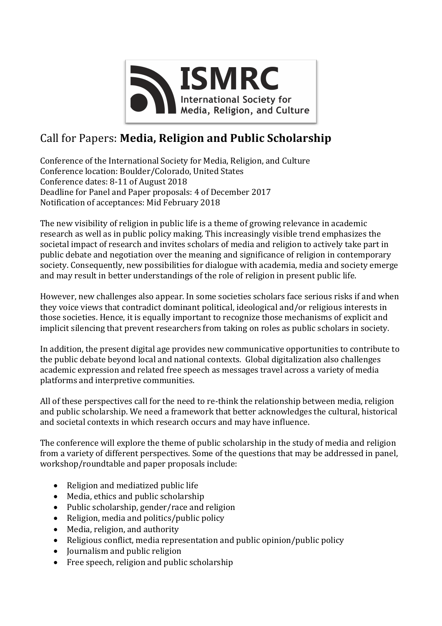

## Call for Papers: Media, Religion and Public Scholarship

Conference of the International Society for Media, Religion, and Culture Conference location: Boulder/Colorado, United States Conference dates: 8-11 of August 2018 Deadline for Panel and Paper proposals: 4 of December 2017 Notification of acceptances: Mid February 2018

The new visibility of religion in public life is a theme of growing relevance in academic research as well as in public policy making. This increasingly visible trend emphasizes the societal impact of research and invites scholars of media and religion to actively take part in public debate and negotiation over the meaning and significance of religion in contemporary society. Consequently, new possibilities for dialogue with academia, media and society emerge and may result in better understandings of the role of religion in present public life.

However, new challenges also appear. In some societies scholars face serious risks if and when they voice views that contradict dominant political, ideological and/or religious interests in those societies. Hence, it is equally important to recognize those mechanisms of explicit and implicit silencing that prevent researchers from taking on roles as public scholars in society.

In addition, the present digital age provides new communicative opportunities to contribute to the public debate beyond local and national contexts. Global digitalization also challenges academic expression and related free speech as messages travel across a variety of media platforms and interpretive communities.

All of these perspectives call for the need to re-think the relationship between media, religion and public scholarship. We need a framework that better acknowledges the cultural, historical and societal contexts in which research occurs and may have influence.

The conference will explore the theme of public scholarship in the study of media and religion from a variety of different perspectives. Some of the questions that may be addressed in panel, workshop/roundtable and paper proposals include:

- Religion and mediatized public life
- Media, ethics and public scholarship
- Public scholarship, gender/race and religion
- Religion, media and politics/public policy
- Media, religion, and authority
- Religious conflict, media representation and public opinion/public policy
- Journalism and public religion
- Free speech, religion and public scholarship